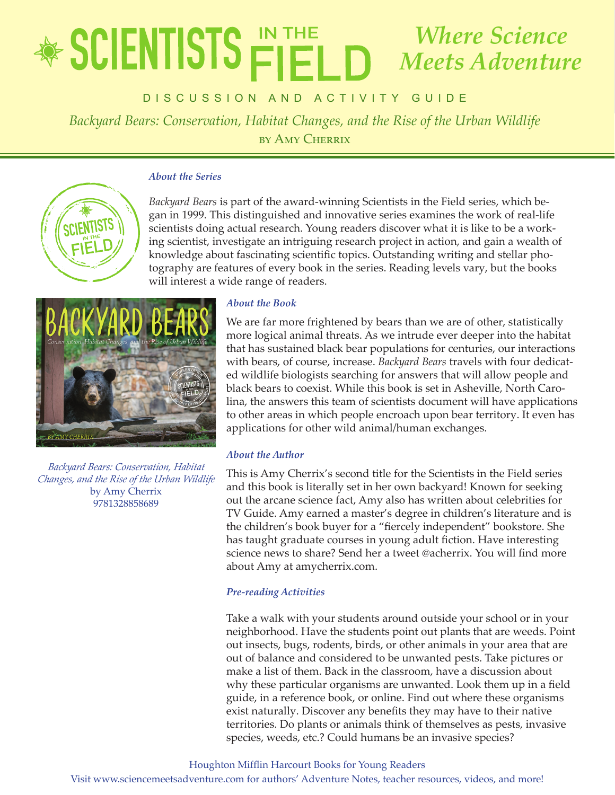## educator's Guide *Backyard Bears: Conservation, Habitat Changes, and the Rise of the Urban Wildlife* by Amy Cherrix *Where Science Meets Adventure*

DISCUSSION AND ACTIVITY GUIDE

*Backyard Bears: Conservation, Habitat Changes, and the Rise of the Urban Wildlife* by Amy Cherrix

### *About the Series*



*Backyard Bears* is part of the award-winning Scientists in the Field series, which began in 1999. This distinguished and innovative series examines the work of real-life scientists doing actual research. Young readers discover what it is like to be a working scientist, investigate an intriguing research project in action, and gain a wealth of knowledge about fascinating scientific topics. Outstanding writing and stellar photography are features of every book in the series. Reading levels vary, but the books will interest a wide range of readers.



*Backyard Bears: Conservation, Habitat Changes, and the Rise of the Urban Wildlife* by Amy Cherrix 9781328858689

### *About the Book*

We are far more frightened by bears than we are of other, statistically more logical animal threats. As we intrude ever deeper into the habitat that has sustained black bear populations for centuries, our interactions with bears, of course, increase. *Backyard Bears* travels with four dedicated wildlife biologists searching for answers that will allow people and black bears to coexist. While this book is set in Asheville, North Carolina, the answers this team of scientists document will have applications to other areas in which people encroach upon bear territory. It even has applications for other wild animal/human exchanges.

### *About the Author*

This is Amy Cherrix's second title for the Scientists in the Field series and this book is literally set in her own backyard! Known for seeking out the arcane science fact, Amy also has written about celebrities for TV Guide. Amy earned a master's degree in children's literature and is the children's book buyer for a "fiercely independent" bookstore. She has taught graduate courses in young adult fiction. Have interesting science news to share? Send her a tweet @acherrix. You will find more about Amy at amycherrix.com.

### *Pre-reading Activities*

Take a walk with your students around outside your school or in your neighborhood. Have the students point out plants that are weeds. Point out insects, bugs, rodents, birds, or other animals in your area that are out of balance and considered to be unwanted pests. Take pictures or make a list of them. Back in the classroom, have a discussion about why these particular organisms are unwanted. Look them up in a field guide, in a reference book, or online. Find out where these organisms exist naturally. Discover any benefits they may have to their native territories. Do plants or animals think of themselves as pests, invasive species, weeds, etc.? Could humans be an invasive species?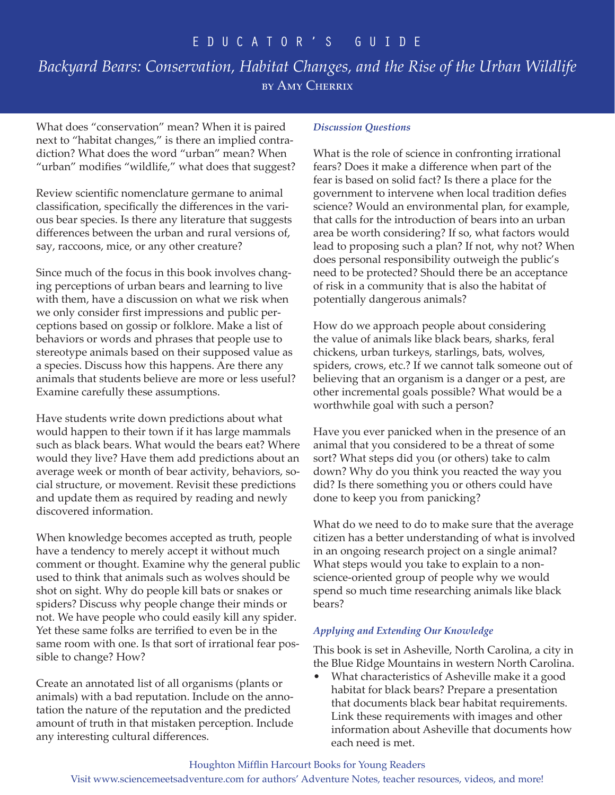# *Backyard Bears: Conservation, Habitat Changes, and the Rise of the Urban Wildlife* by Amy Cherrix

What does "conservation" mean? When it is paired next to "habitat changes," is there an implied contradiction? What does the word "urban" mean? When "urban" modifies "wildlife," what does that suggest?

Review scientific nomenclature germane to animal classification, specifically the differences in the various bear species. Is there any literature that suggests differences between the urban and rural versions of, say, raccoons, mice, or any other creature?

Since much of the focus in this book involves changing perceptions of urban bears and learning to live with them, have a discussion on what we risk when we only consider first impressions and public perceptions based on gossip or folklore. Make a list of behaviors or words and phrases that people use to stereotype animals based on their supposed value as a species. Discuss how this happens. Are there any animals that students believe are more or less useful? Examine carefully these assumptions.

Have students write down predictions about what would happen to their town if it has large mammals such as black bears. What would the bears eat? Where would they live? Have them add predictions about an average week or month of bear activity, behaviors, social structure, or movement. Revisit these predictions and update them as required by reading and newly discovered information.

When knowledge becomes accepted as truth, people have a tendency to merely accept it without much comment or thought. Examine why the general public used to think that animals such as wolves should be shot on sight. Why do people kill bats or snakes or spiders? Discuss why people change their minds or not. We have people who could easily kill any spider. Yet these same folks are terrified to even be in the same room with one. Is that sort of irrational fear possible to change? How?

Create an annotated list of all organisms (plants or animals) with a bad reputation. Include on the annotation the nature of the reputation and the predicted amount of truth in that mistaken perception. Include any interesting cultural differences.

### *Discussion Questions*

What is the role of science in confronting irrational fears? Does it make a difference when part of the fear is based on solid fact? Is there a place for the government to intervene when local tradition defies science? Would an environmental plan, for example, that calls for the introduction of bears into an urban area be worth considering? If so, what factors would lead to proposing such a plan? If not, why not? When does personal responsibility outweigh the public's need to be protected? Should there be an acceptance of risk in a community that is also the habitat of potentially dangerous animals?

How do we approach people about considering the value of animals like black bears, sharks, feral chickens, urban turkeys, starlings, bats, wolves, spiders, crows, etc.? If we cannot talk someone out of believing that an organism is a danger or a pest, are other incremental goals possible? What would be a worthwhile goal with such a person?

Have you ever panicked when in the presence of an animal that you considered to be a threat of some sort? What steps did you (or others) take to calm down? Why do you think you reacted the way you did? Is there something you or others could have done to keep you from panicking?

What do we need to do to make sure that the average citizen has a better understanding of what is involved in an ongoing research project on a single animal? What steps would you take to explain to a nonscience-oriented group of people why we would spend so much time researching animals like black bears?

### *Applying and Extending Our Knowledge*

This book is set in Asheville, North Carolina, a city in the Blue Ridge Mountains in western North Carolina.

• What characteristics of Asheville make it a good habitat for black bears? Prepare a presentation that documents black bear habitat requirements. Link these requirements with images and other information about Asheville that documents how each need is met.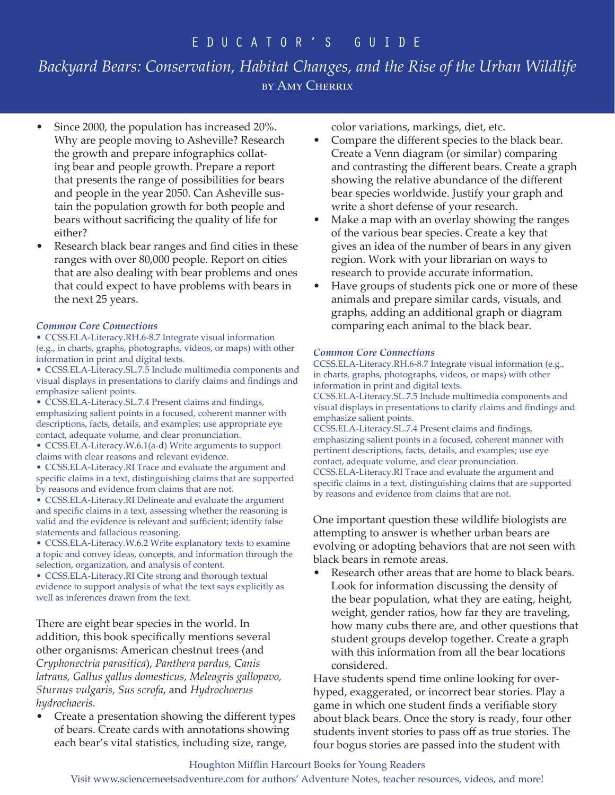# *Backyard Bears: Conservation, Habitat Changes, and the Rise of the Urban Wildlife* by Amy Cherrix

- Since 2000, the population has increased 20%. Why are people moving to Asheville? Research the growth and prepare infographics collating bear and people growth. Prepare a report that presents the range of possibilities for bears and people in the year 2050. Can Asheville sustain the population growth for both people and bears without sacrificing the quality of life for either?
- Research black bear ranges and find cities in these ranges with over 80,000 people. Report on cities that are also dealing with bear problems and ones that could expect to have problems with bears in the next 25 years.

### *Common Core Connections*

• CCSS.ELA-Literacy.RH.6-8.7 Integrate visual information (e.g., in charts, graphs, photographs, videos, or maps) with other information in print and digital texts.

• CCSS.ELA-Literacy.SL.7.5 Include multimedia components and visual displays in presentations to clarify claims and findings and emphasize salient points.

• CCSS.ELA-Literacy.SL.7.4 Present claims and findings, emphasizing salient points in a focused, coherent manner with descriptions, facts, details, and examples; use appropriate eye contact, adequate volume, and clear pronunciation.

- CCSS.ELA-Literacy.W.6.1(a-d) Write arguments to support claims with clear reasons and relevant evidence.
- CCSS.ELA-Literacy.RI Trace and evaluate the argument and specific claims in a text, distinguishing claims that are supported by reasons and evidence from claims that are not.
- CCSS.ELA-Literacy.RI Delineate and evaluate the argument and specific claims in a text, assessing whether the reasoning is valid and the evidence is relevant and sufficient; identify false statements and fallacious reasoning.

• CCSS.ELA-Literacy.W.6.2 Write explanatory texts to examine a topic and convey ideas, concepts, and information through the selection, organization, and analysis of content.

• CCSS.ELA-Literacy.RI Cite strong and thorough textual evidence to support analysis of what the text says explicitly as well as inferences drawn from the text.

There are eight bear species in the world. In addition, this book specifically mentions several other organisms: American chestnut trees (and *Cryphonectria parasitica*), *Panthera pardus, Canis latrans, Gallus gallus domesticus, Meleagris gallopavo, Sturnus vulgaris, Sus scrofa*, and *Hydrochoerus hydrochaeris.* 

• Create a presentation showing the different types of bears. Create cards with annotations showing each bear's vital statistics, including size, range,

color variations, markings, diet, etc.

- Compare the different species to the black bear. Create a Venn diagram (or similar) comparing and contrasting the different bears. Create a graph showing the relative abundance of the different bear species worldwide. Justify your graph and write a short defense of your research.
- Make a map with an overlay showing the ranges of the various bear species. Create a key that gives an idea of the number of bears in any given region. Work with your librarian on ways to research to provide accurate information.
- Have groups of students pick one or more of these animals and prepare similar cards, visuals, and graphs, adding an additional graph or diagram comparing each animal to the black bear.

### *Common Core Connections*

CCSS.ELA-Literacy.RH.6-8.7 Integrate visual information (e.g., in charts, graphs, photographs, videos, or maps) with other information in print and digital texts.

CCSS.ELA-Literacy.SL.7.5 Include multimedia components and visual displays in presentations to clarify claims and findings and emphasize salient points.

CCSS.ELA-Literacy.SL.7.4 Present claims and findings, emphasizing salient points in a focused, coherent manner with pertinent descriptions, facts, details, and examples; use eye contact, adequate volume, and clear pronunciation. CCSS.ELA-Literacy.RI Trace and evaluate the argument and specific claims in a text, distinguishing claims that are supported by reasons and evidence from claims that are not.

One important question these wildlife biologists are attempting to answer is whether urban bears are evolving or adopting behaviors that are not seen with black bears in remote areas.

Research other areas that are home to black bears. Look for information discussing the density of the bear population, what they are eating, height, weight, gender ratios, how far they are traveling, how many cubs there are, and other questions that student groups develop together. Create a graph with this information from all the bear locations considered.

Have students spend time online looking for overhyped, exaggerated, or incorrect bear stories. Play a game in which one student finds a verifiable story about black bears. Once the story is ready, four other students invent stories to pass off as true stories. The four bogus stories are passed into the student with

### Houghton Mifflin Harcourt Books for Young Readers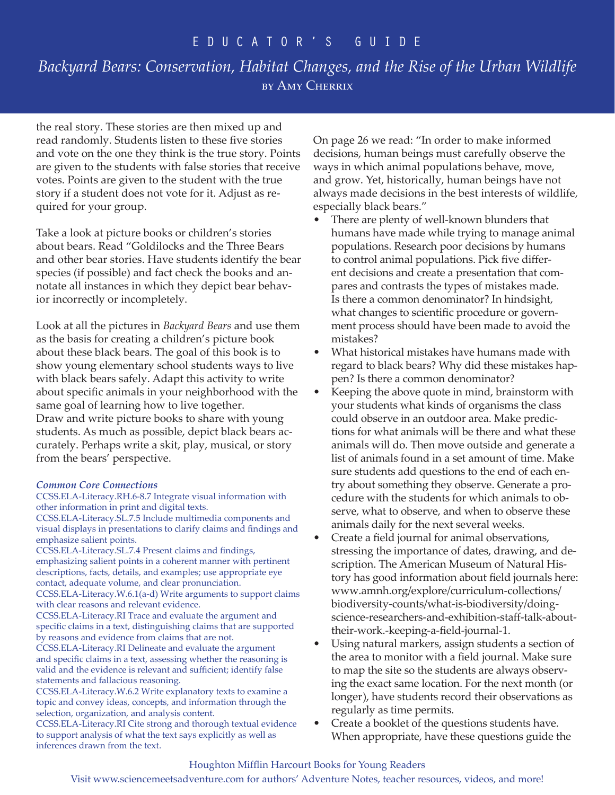## *Backyard Bears: Conservation, Habitat Changes, and the Rise of the Urban Wildlife* by Amy Cherrix

the real story. These stories are then mixed up and read randomly. Students listen to these five stories and vote on the one they think is the true story. Points are given to the students with false stories that receive votes. Points are given to the student with the true story if a student does not vote for it. Adjust as required for your group.

Take a look at picture books or children's stories about bears. Read "Goldilocks and the Three Bears and other bear stories. Have students identify the bear species (if possible) and fact check the books and annotate all instances in which they depict bear behavior incorrectly or incompletely.

Look at all the pictures in *Backyard Bears* and use them as the basis for creating a children's picture book about these black bears. The goal of this book is to show young elementary school students ways to live with black bears safely. Adapt this activity to write about specific animals in your neighborhood with the same goal of learning how to live together. Draw and write picture books to share with young students. As much as possible, depict black bears accurately. Perhaps write a skit, play, musical, or story from the bears' perspective.

### *Common Core Connections*

CCSS.ELA-Literacy.RH.6-8.7 Integrate visual information with other information in print and digital texts.

CCSS.ELA-Literacy.SL.7.5 Include multimedia components and visual displays in presentations to clarify claims and findings and emphasize salient points.

CCSS.ELA-Literacy.SL.7.4 Present claims and findings, emphasizing salient points in a coherent manner with pertinent descriptions, facts, details, and examples; use appropriate eye contact, adequate volume, and clear pronunciation.

CCSS.ELA-Literacy.W.6.1(a-d) Write arguments to support claims with clear reasons and relevant evidence.

CCSS.ELA-Literacy.RI Trace and evaluate the argument and specific claims in a text, distinguishing claims that are supported by reasons and evidence from claims that are not.

CCSS.ELA-Literacy.RI Delineate and evaluate the argument and specific claims in a text, assessing whether the reasoning is valid and the evidence is relevant and sufficient; identify false statements and fallacious reasoning.

CCSS.ELA-Literacy.W.6.2 Write explanatory texts to examine a topic and convey ideas, concepts, and information through the selection, organization, and analysis content.

CCSS.ELA-Literacy.RI Cite strong and thorough textual evidence to support analysis of what the text says explicitly as well as inferences drawn from the text.

On page 26 we read: "In order to make informed decisions, human beings must carefully observe the ways in which animal populations behave, move, and grow. Yet, historically, human beings have not always made decisions in the best interests of wildlife, especially black bears."

- There are plenty of well-known blunders that humans have made while trying to manage animal populations. Research poor decisions by humans to control animal populations. Pick five different decisions and create a presentation that compares and contrasts the types of mistakes made. Is there a common denominator? In hindsight, what changes to scientific procedure or government process should have been made to avoid the mistakes?
- What historical mistakes have humans made with regard to black bears? Why did these mistakes happen? Is there a common denominator?
- Keeping the above quote in mind, brainstorm with your students what kinds of organisms the class could observe in an outdoor area. Make predictions for what animals will be there and what these animals will do. Then move outside and generate a list of animals found in a set amount of time. Make sure students add questions to the end of each entry about something they observe. Generate a procedure with the students for which animals to observe, what to observe, and when to observe these animals daily for the next several weeks.
- Create a field journal for animal observations, stressing the importance of dates, drawing, and description. The American Museum of Natural History has good information about field journals here: www.amnh.org/explore/curriculum-collections/ biodiversity-counts/what-is-biodiversity/doingscience-researchers-and-exhibition-staff-talk-abouttheir-work.-keeping-a-field-journal-1.
- Using natural markers, assign students a section of the area to monitor with a field journal. Make sure to map the site so the students are always observing the exact same location. For the next month (or longer), have students record their observations as regularly as time permits.
- Create a booklet of the questions students have. When appropriate, have these questions guide the

### Houghton Mifflin Harcourt Books for Young Readers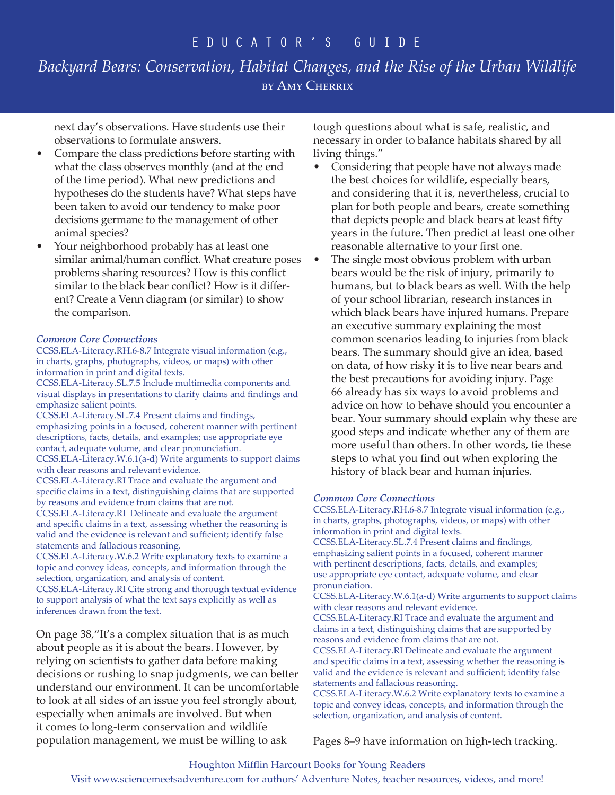# *Backyard Bears: Conservation, Habitat Changes, and the Rise of the Urban Wildlife* by Amy Cherrix

next day's observations. Have students use their observations to formulate answers.

- Compare the class predictions before starting with what the class observes monthly (and at the end of the time period). What new predictions and hypotheses do the students have? What steps have been taken to avoid our tendency to make poor decisions germane to the management of other animal species?
- Your neighborhood probably has at least one similar animal/human conflict. What creature poses problems sharing resources? How is this conflict similar to the black bear conflict? How is it different? Create a Venn diagram (or similar) to show the comparison.

### *Common Core Connections*

CCSS.ELA-Literacy.RH.6-8.7 Integrate visual information (e.g., in charts, graphs, photographs, videos, or maps) with other information in print and digital texts.

CCSS.ELA-Literacy.SL.7.5 Include multimedia components and visual displays in presentations to clarify claims and findings and emphasize salient points.

CCSS.ELA-Literacy.SL.7.4 Present claims and findings, emphasizing points in a focused, coherent manner with pertinent descriptions, facts, details, and examples; use appropriate eye contact, adequate volume, and clear pronunciation.

CCSS.ELA-Literacy.W.6.1(a-d) Write arguments to support claims with clear reasons and relevant evidence.

CCSS.ELA-Literacy.RI Trace and evaluate the argument and specific claims in a text, distinguishing claims that are supported by reasons and evidence from claims that are not.

CCSS.ELA-Literacy.RI Delineate and evaluate the argument and specific claims in a text, assessing whether the reasoning is valid and the evidence is relevant and sufficient; identify false statements and fallacious reasoning.

CCSS.ELA-Literacy.W.6.2 Write explanatory texts to examine a topic and convey ideas, concepts, and information through the selection, organization, and analysis of content.

CCSS.ELA-Literacy.RI Cite strong and thorough textual evidence to support analysis of what the text says explicitly as well as inferences drawn from the text.

On page 38,"It's a complex situation that is as much about people as it is about the bears. However, by relying on scientists to gather data before making decisions or rushing to snap judgments, we can better understand our environment. It can be uncomfortable to look at all sides of an issue you feel strongly about, especially when animals are involved. But when it comes to long-term conservation and wildlife population management, we must be willing to ask

tough questions about what is safe, realistic, and necessary in order to balance habitats shared by all living things."

- Considering that people have not always made the best choices for wildlife, especially bears, and considering that it is, nevertheless, crucial to plan for both people and bears, create something that depicts people and black bears at least fifty years in the future. Then predict at least one other reasonable alternative to your first one.
- The single most obvious problem with urban bears would be the risk of injury, primarily to humans, but to black bears as well. With the help of your school librarian, research instances in which black bears have injured humans. Prepare an executive summary explaining the most common scenarios leading to injuries from black bears. The summary should give an idea, based on data, of how risky it is to live near bears and the best precautions for avoiding injury. Page 66 already has six ways to avoid problems and advice on how to behave should you encounter a bear. Your summary should explain why these are good steps and indicate whether any of them are more useful than others. In other words, tie these steps to what you find out when exploring the history of black bear and human injuries.

### *Common Core Connections*

CCSS.ELA-Literacy.RH.6-8.7 Integrate visual information (e.g., in charts, graphs, photographs, videos, or maps) with other information in print and digital texts.

CCSS.ELA-Literacy.SL.7.4 Present claims and findings, emphasizing salient points in a focused, coherent manner with pertinent descriptions, facts, details, and examples; use appropriate eye contact, adequate volume, and clear pronunciation.

CCSS.ELA-Literacy.W.6.1(a-d) Write arguments to support claims with clear reasons and relevant evidence.

CCSS.ELA-Literacy.RI Trace and evaluate the argument and claims in a text, distinguishing claims that are supported by reasons and evidence from claims that are not.

CCSS.ELA-Literacy.RI Delineate and evaluate the argument and specific claims in a text, assessing whether the reasoning is valid and the evidence is relevant and sufficient; identify false statements and fallacious reasoning.

CCSS.ELA-Literacy.W.6.2 Write explanatory texts to examine a topic and convey ideas, concepts, and information through the selection, organization, and analysis of content.

Pages 8–9 have information on high-tech tracking.

### Houghton Mifflin Harcourt Books for Young Readers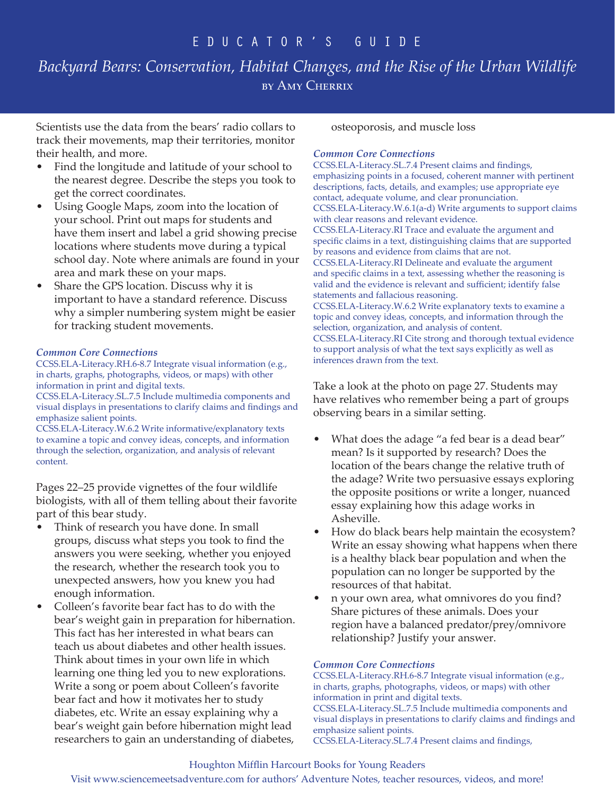# *Backyard Bears: Conservation, Habitat Changes, and the Rise of the Urban Wildlife* by Amy Cherrix

Scientists use the data from the bears' radio collars to track their movements, map their territories, monitor their health, and more.

- Find the longitude and latitude of your school to the nearest degree. Describe the steps you took to get the correct coordinates.
- Using Google Maps, zoom into the location of your school. Print out maps for students and have them insert and label a grid showing precise locations where students move during a typical school day. Note where animals are found in your area and mark these on your maps.
- Share the GPS location. Discuss why it is important to have a standard reference. Discuss why a simpler numbering system might be easier for tracking student movements.

### *Common Core Connections*

CCSS.ELA-Literacy.RH.6-8.7 Integrate visual information (e.g., in charts, graphs, photographs, videos, or maps) with other information in print and digital texts.

CCSS.ELA-Literacy.SL.7.5 Include multimedia components and visual displays in presentations to clarify claims and findings and emphasize salient points.

CCSS.ELA-Literacy.W.6.2 Write informative/explanatory texts to examine a topic and convey ideas, concepts, and information through the selection, organization, and analysis of relevant content.

Pages 22–25 provide vignettes of the four wildlife biologists, with all of them telling about their favorite part of this bear study.

- Think of research you have done. In small groups, discuss what steps you took to find the answers you were seeking, whether you enjoyed the research, whether the research took you to unexpected answers, how you knew you had enough information.
- Colleen's favorite bear fact has to do with the bear's weight gain in preparation for hibernation. This fact has her interested in what bears can teach us about diabetes and other health issues. Think about times in your own life in which learning one thing led you to new explorations. Write a song or poem about Colleen's favorite bear fact and how it motivates her to study diabetes, etc. Write an essay explaining why a bear's weight gain before hibernation might lead researchers to gain an understanding of diabetes,

osteoporosis, and muscle loss

### *Common Core Connections*

CCSS.ELA-Literacy.SL.7.4 Present claims and findings, emphasizing points in a focused, coherent manner with pertinent descriptions, facts, details, and examples; use appropriate eye contact, adequate volume, and clear pronunciation. CCSS.ELA-Literacy.W.6.1(a-d) Write arguments to support claims with clear reasons and relevant evidence. CCSS.ELA-Literacy.RI Trace and evaluate the argument and specific claims in a text, distinguishing claims that are supported by reasons and evidence from claims that are not. CCSS.ELA-Literacy.RI Delineate and evaluate the argument and specific claims in a text, assessing whether the reasoning is valid and the evidence is relevant and sufficient; identify false statements and fallacious reasoning. CCSS.ELA-Literacy.W.6.2 Write explanatory texts to examine a topic and convey ideas, concepts, and information through the selection, organization, and analysis of content. CCSS.ELA-Literacy.RI Cite strong and thorough textual evidence to support analysis of what the text says explicitly as well as inferences drawn from the text.

Take a look at the photo on page 27. Students may have relatives who remember being a part of groups observing bears in a similar setting.

- What does the adage "a fed bear is a dead bear" mean? Is it supported by research? Does the location of the bears change the relative truth of the adage? Write two persuasive essays exploring the opposite positions or write a longer, nuanced essay explaining how this adage works in Asheville.
- How do black bears help maintain the ecosystem? Write an essay showing what happens when there is a healthy black bear population and when the population can no longer be supported by the resources of that habitat.
- n your own area, what omnivores do you find? Share pictures of these animals. Does your region have a balanced predator/prey/omnivore relationship? Justify your answer.

### *Common Core Connections*

CCSS.ELA-Literacy.RH.6-8.7 Integrate visual information (e.g., in charts, graphs, photographs, videos, or maps) with other information in print and digital texts. CCSS.ELA-Literacy.SL.7.5 Include multimedia components and visual displays in presentations to clarify claims and findings and emphasize salient points. CCSS.ELA-Literacy.SL.7.4 Present claims and findings,

### Houghton Mifflin Harcourt Books for Young Readers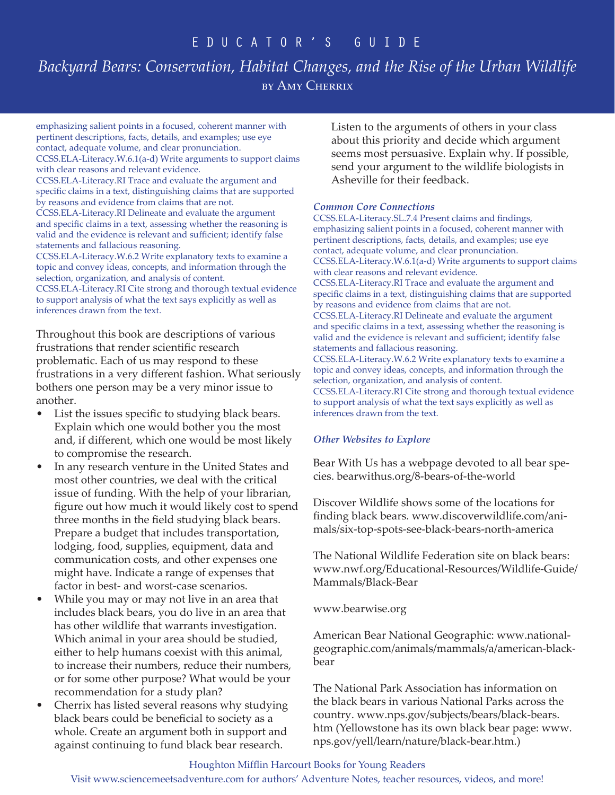# *Backyard Bears: Conservation, Habitat Changes, and the Rise of the Urban Wildlife* by Amy Cherrix

emphasizing salient points in a focused, coherent manner with pertinent descriptions, facts, details, and examples; use eye contact, adequate volume, and clear pronunciation. CCSS.ELA-Literacy.W.6.1(a-d) Write arguments to support claims

with clear reasons and relevant evidence. CCSS.ELA-Literacy.RI Trace and evaluate the argument and specific claims in a text, distinguishing claims that are supported by reasons and evidence from claims that are not. CCSS.ELA-Literacy.RI Delineate and evaluate the argument and specific claims in a text, assessing whether the reasoning is valid and the evidence is relevant and sufficient; identify false statements and fallacious reasoning. CCSS.ELA-Literacy.W.6.2 Write explanatory texts to examine a

topic and convey ideas, concepts, and information through the selection, organization, and analysis of content. CCSS.ELA-Literacy.RI Cite strong and thorough textual evidence

to support analysis of what the text says explicitly as well as inferences drawn from the text.

Throughout this book are descriptions of various frustrations that render scientific research problematic. Each of us may respond to these frustrations in a very different fashion. What seriously bothers one person may be a very minor issue to another.

- List the issues specific to studying black bears. Explain which one would bother you the most and, if different, which one would be most likely to compromise the research.
- In any research venture in the United States and most other countries, we deal with the critical issue of funding. With the help of your librarian, figure out how much it would likely cost to spend three months in the field studying black bears. Prepare a budget that includes transportation, lodging, food, supplies, equipment, data and communication costs, and other expenses one might have. Indicate a range of expenses that factor in best- and worst-case scenarios.
- While you may or may not live in an area that includes black bears, you do live in an area that has other wildlife that warrants investigation. Which animal in your area should be studied, either to help humans coexist with this animal, to increase their numbers, reduce their numbers, or for some other purpose? What would be your recommendation for a study plan?
- Cherrix has listed several reasons why studying black bears could be beneficial to society as a whole. Create an argument both in support and against continuing to fund black bear research.

Listen to the arguments of others in your class about this priority and decide which argument seems most persuasive. Explain why. If possible, send your argument to the wildlife biologists in Asheville for their feedback.

### *Common Core Connections*

CCSS.ELA-Literacy.SL.7.4 Present claims and findings, emphasizing salient points in a focused, coherent manner with pertinent descriptions, facts, details, and examples; use eye contact, adequate volume, and clear pronunciation. CCSS.ELA-Literacy.W.6.1(a-d) Write arguments to support claims with clear reasons and relevant evidence. CCSS.ELA-Literacy.RI Trace and evaluate the argument and specific claims in a text, distinguishing claims that are supported by reasons and evidence from claims that are not. CCSS.ELA-Literacy.RI Delineate and evaluate the argument and specific claims in a text, assessing whether the reasoning is valid and the evidence is relevant and sufficient; identify false statements and fallacious reasoning. CCSS.ELA-Literacy.W.6.2 Write explanatory texts to examine a topic and convey ideas, concepts, and information through the selection, organization, and analysis of content. CCSS.ELA-Literacy.RI Cite strong and thorough textual evidence to support analysis of what the text says explicitly as well as inferences drawn from the text.

### *Other Websites to Explore*

Bear With Us has a webpage devoted to all bear species. bearwithus.org/8-bears-of-the-world

Discover Wildlife shows some of the locations for finding black bears. www.discoverwildlife.com/animals/six-top-spots-see-black-bears-north-america

The National Wildlife Federation site on black bears: www.nwf.org/Educational-Resources/Wildlife-Guide/ Mammals/Black-Bear

www.bearwise.org

American Bear National Geographic: www.nationalgeographic.com/animals/mammals/a/american-blackbear

The National Park Association has information on the black bears in various National Parks across the country. www.nps.gov/subjects/bears/black-bears. htm (Yellowstone has its own black bear page: www. nps.gov/yell/learn/nature/black-bear.htm.)

### Houghton Mifflin Harcourt Books for Young Readers